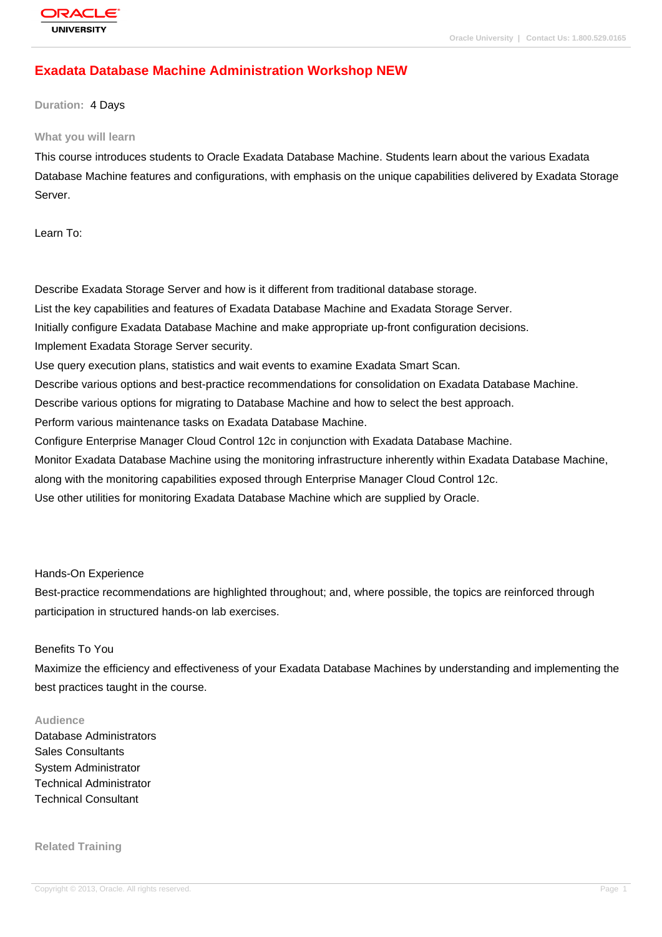# **[Exadata Datab](http://education.oracle.com/pls/web_prod-plq-dad/db_pages.getpage?page_id=3)ase Machine Administration Workshop NEW**

#### **Duration:** 4 Days

#### **What you will learn**

This course introduces students to Oracle Exadata Database Machine. Students learn about the various Exadata Database Machine features and configurations, with emphasis on the unique capabilities delivered by Exadata Storage Server.

Learn To:

Describe Exadata Storage Server and how is it different from traditional database storage. List the key capabilities and features of Exadata Database Machine and Exadata Storage Server. Initially configure Exadata Database Machine and make appropriate up-front configuration decisions. Implement Exadata Storage Server security. Use query execution plans, statistics and wait events to examine Exadata Smart Scan. Describe various options and best-practice recommendations for consolidation on Exadata Database Machine. Describe various options for migrating to Database Machine and how to select the best approach. Perform various maintenance tasks on Exadata Database Machine. Configure Enterprise Manager Cloud Control 12c in conjunction with Exadata Database Machine. Monitor Exadata Database Machine using the monitoring infrastructure inherently within Exadata Database Machine, along with the monitoring capabilities exposed through Enterprise Manager Cloud Control 12c. Use other utilities for monitoring Exadata Database Machine which are supplied by Oracle.

Hands-On Experience

Best-practice recommendations are highlighted throughout; and, where possible, the topics are reinforced through participation in structured hands-on lab exercises.

#### Benefits To You

Maximize the efficiency and effectiveness of your Exadata Database Machines by understanding and implementing the best practices taught in the course.

#### **Audience**

Database Administrators Sales Consultants System Administrator Technical Administrator Technical Consultant

**Related Training**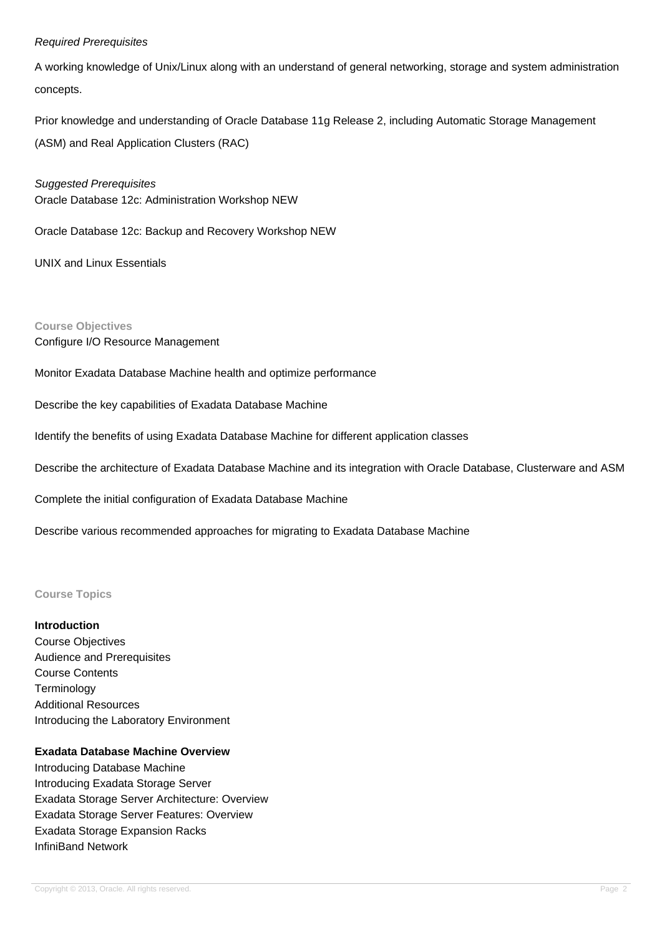#### Required Prerequisites

A working knowledge of Unix/Linux along with an understand of general networking, storage and system administration concepts.

Prior knowledge and understanding of Oracle Database 11g Release 2, including Automatic Storage Management (ASM) and Real Application Clusters (RAC)

Suggested Prerequisites Oracle Database 12c: Administration Workshop NEW

Oracle Database 12c: Backup and Recovery Workshop NEW

UNIX and Linux Essentials

**Course Objectives**

Configure I/O Resource Management

Monitor Exadata Database Machine health and optimize performance

Describe the key capabilities of Exadata Database Machine

Identify the benefits of using Exadata Database Machine for different application classes

Describe the architecture of Exadata Database Machine and its integration with Oracle Database, Clusterware and ASM

Complete the initial configuration of Exadata Database Machine

Describe various recommended approaches for migrating to Exadata Database Machine

### **Course Topics**

**Introduction** Course Objectives Audience and Prerequisites Course Contents **Terminology** Additional Resources Introducing the Laboratory Environment

### **Exadata Database Machine Overview**

Introducing Database Machine Introducing Exadata Storage Server Exadata Storage Server Architecture: Overview Exadata Storage Server Features: Overview Exadata Storage Expansion Racks InfiniBand Network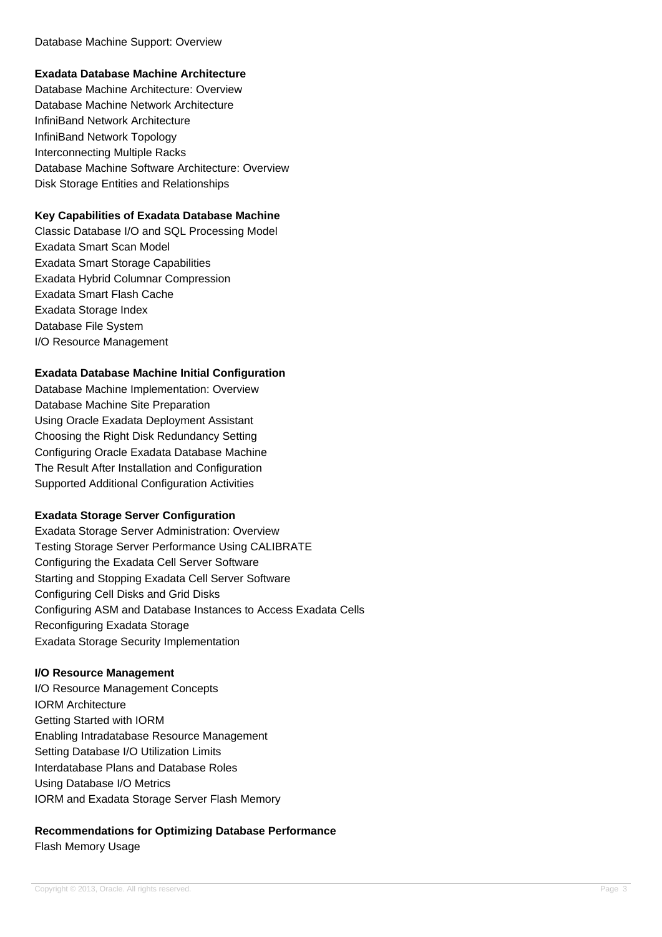## **Exadata Database Machine Architecture**

Database Machine Architecture: Overview Database Machine Network Architecture InfiniBand Network Architecture InfiniBand Network Topology Interconnecting Multiple Racks Database Machine Software Architecture: Overview Disk Storage Entities and Relationships

### **Key Capabilities of Exadata Database Machine**

Classic Database I/O and SQL Processing Model Exadata Smart Scan Model Exadata Smart Storage Capabilities Exadata Hybrid Columnar Compression Exadata Smart Flash Cache Exadata Storage Index Database File System I/O Resource Management

#### **Exadata Database Machine Initial Configuration**

Database Machine Implementation: Overview Database Machine Site Preparation Using Oracle Exadata Deployment Assistant Choosing the Right Disk Redundancy Setting Configuring Oracle Exadata Database Machine The Result After Installation and Configuration Supported Additional Configuration Activities

## **Exadata Storage Server Configuration**

Exadata Storage Server Administration: Overview Testing Storage Server Performance Using CALIBRATE Configuring the Exadata Cell Server Software Starting and Stopping Exadata Cell Server Software Configuring Cell Disks and Grid Disks Configuring ASM and Database Instances to Access Exadata Cells Reconfiguring Exadata Storage Exadata Storage Security Implementation

## **I/O Resource Management**

I/O Resource Management Concepts IORM Architecture Getting Started with IORM Enabling Intradatabase Resource Management Setting Database I/O Utilization Limits Interdatabase Plans and Database Roles Using Database I/O Metrics IORM and Exadata Storage Server Flash Memory

## **Recommendations for Optimizing Database Performance** Flash Memory Usage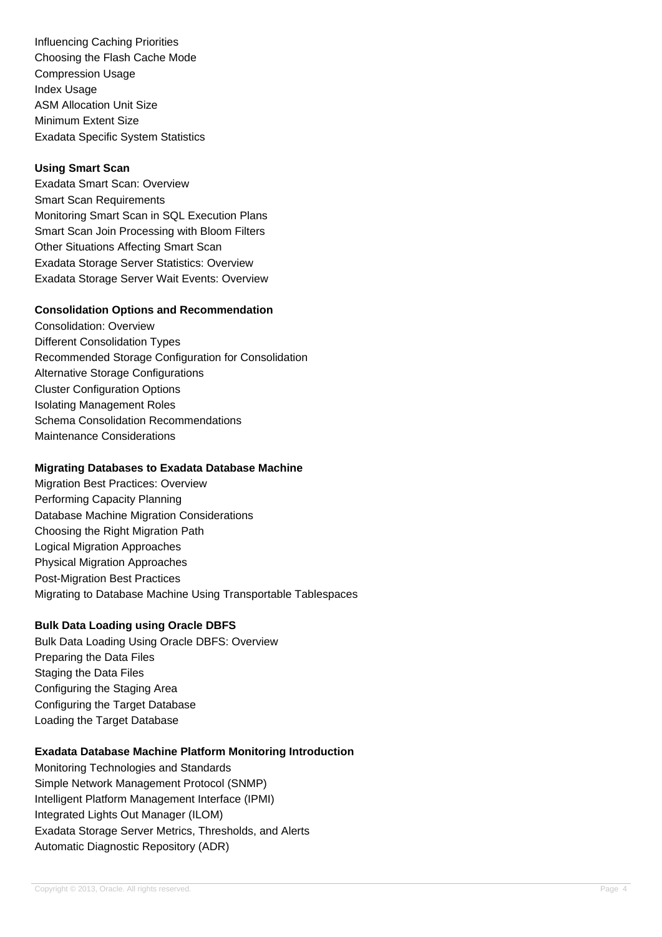Influencing Caching Priorities Choosing the Flash Cache Mode Compression Usage Index Usage ASM Allocation Unit Size Minimum Extent Size Exadata Specific System Statistics

### **Using Smart Scan**

Exadata Smart Scan: Overview Smart Scan Requirements Monitoring Smart Scan in SQL Execution Plans Smart Scan Join Processing with Bloom Filters Other Situations Affecting Smart Scan Exadata Storage Server Statistics: Overview Exadata Storage Server Wait Events: Overview

#### **Consolidation Options and Recommendation**

Consolidation: Overview Different Consolidation Types Recommended Storage Configuration for Consolidation Alternative Storage Configurations Cluster Configuration Options Isolating Management Roles Schema Consolidation Recommendations Maintenance Considerations

### **Migrating Databases to Exadata Database Machine**

Migration Best Practices: Overview Performing Capacity Planning Database Machine Migration Considerations Choosing the Right Migration Path Logical Migration Approaches Physical Migration Approaches Post-Migration Best Practices Migrating to Database Machine Using Transportable Tablespaces

## **Bulk Data Loading using Oracle DBFS**

Bulk Data Loading Using Oracle DBFS: Overview Preparing the Data Files Staging the Data Files Configuring the Staging Area Configuring the Target Database Loading the Target Database

## **Exadata Database Machine Platform Monitoring Introduction**

Monitoring Technologies and Standards Simple Network Management Protocol (SNMP) Intelligent Platform Management Interface (IPMI) Integrated Lights Out Manager (ILOM) Exadata Storage Server Metrics, Thresholds, and Alerts Automatic Diagnostic Repository (ADR)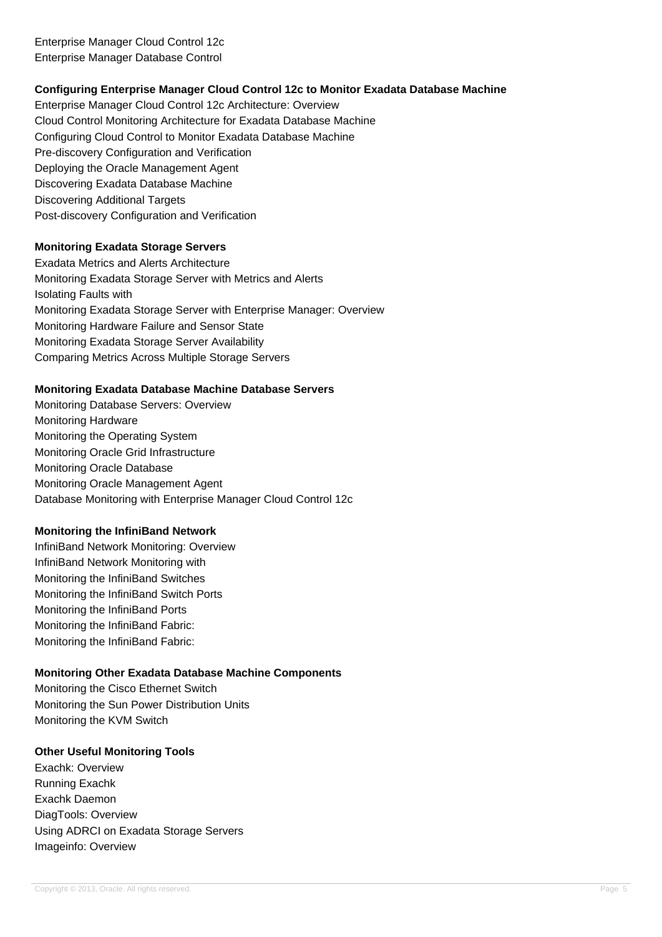## **Configuring Enterprise Manager Cloud Control 12c to Monitor Exadata Database Machine**

Enterprise Manager Cloud Control 12c Architecture: Overview Cloud Control Monitoring Architecture for Exadata Database Machine Configuring Cloud Control to Monitor Exadata Database Machine Pre-discovery Configuration and Verification Deploying the Oracle Management Agent Discovering Exadata Database Machine Discovering Additional Targets Post-discovery Configuration and Verification

### **Monitoring Exadata Storage Servers**

Exadata Metrics and Alerts Architecture Monitoring Exadata Storage Server with Metrics and Alerts Isolating Faults with Monitoring Exadata Storage Server with Enterprise Manager: Overview Monitoring Hardware Failure and Sensor State Monitoring Exadata Storage Server Availability Comparing Metrics Across Multiple Storage Servers

#### **Monitoring Exadata Database Machine Database Servers**

Monitoring Database Servers: Overview Monitoring Hardware Monitoring the Operating System Monitoring Oracle Grid Infrastructure Monitoring Oracle Database Monitoring Oracle Management Agent Database Monitoring with Enterprise Manager Cloud Control 12c

#### **Monitoring the InfiniBand Network**

InfiniBand Network Monitoring: Overview InfiniBand Network Monitoring with Monitoring the InfiniBand Switches Monitoring the InfiniBand Switch Ports Monitoring the InfiniBand Ports Monitoring the InfiniBand Fabric: Monitoring the InfiniBand Fabric:

## **Monitoring Other Exadata Database Machine Components**

Monitoring the Cisco Ethernet Switch Monitoring the Sun Power Distribution Units Monitoring the KVM Switch

#### **Other Useful Monitoring Tools**

Exachk: Overview Running Exachk Exachk Daemon DiagTools: Overview Using ADRCI on Exadata Storage Servers Imageinfo: Overview